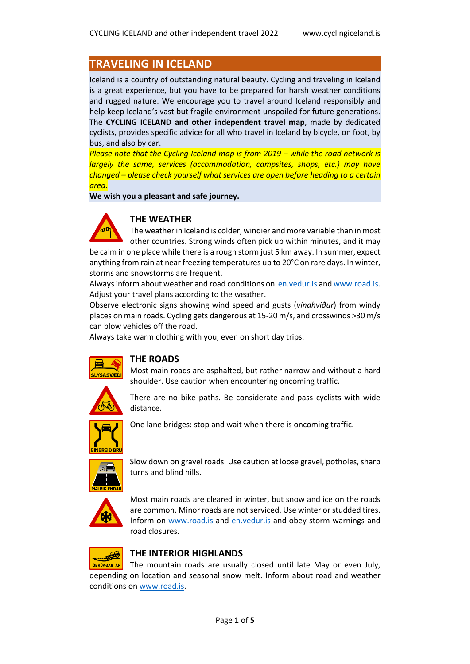# **TRAVELING IN ICELAND**

Iceland is a country of outstanding natural beauty. Cycling and traveling in Iceland is a great experience, but you have to be prepared for harsh weather conditions and rugged nature. We encourage you to travel around Iceland responsibly and help keep Iceland's vast but fragile environment unspoiled for future generations. The **CYCLING ICELAND and other independent travel map**, made by dedicated cyclists, provides specific advice for all who travel in Iceland by bicycle, on foot, by bus, and also by car.

**Please note that the Cycling Iceland map is from 2019 – while the road network is** *largely the same, services (accommodation, campsites, shops, etc.) may have changed – please check yourself what services are open before heading to a certain area.*

**We wish you a pleasant and safe journey.** 



### **THE WEATHER**

The weather in Iceland is colder, windier and more variable than in most other countries. Strong winds often pick up within minutes, and it may

be calm in one place while there is a rough storm just 5 km away. In summer, expect anything from rain at near freezing temperatures up to 20°C on rare days. In winter, storms and snowstorms are frequent.

Always inform about weather and road conditions on en. vedur. is and www.road. is. Adjust your travel plans according to the weather.

Observe electronic signs showing wind speed and gusts (*vindhviður*) from windy places on main roads. Cycling gets dangerous at 15-20 m/s, and crosswinds >30 m/s can blow vehicles off the road.

Always take warm clothing with you, even on short day trips.



#### **THE ROADS**

Most main roads are asphalted, but rather narrow and without a hard shoulder. Use caution when encountering oncoming traffic.



There are no bike paths. Be considerate and pass cyclists with wide distance.



One lane bridges: stop and wait when there is oncoming traffic.



Slow down on gravel roads. Use caution at loose gravel, potholes, sharp turns and blind hills.



Most main roads are cleared in winter, but snow and ice on the roads are common. Minor roads are not serviced. Use winter or studded tires. Inform on [www.road.is](http://www.road.is/) and [en.vedur.is](https://en.vedur.is/) and obey storm warnings and road closures.



#### **THE INTERIOR HIGHLANDS**

ÓBRÚAÐAR ÁR The mountain roads are usually closed until late May or even July, depending on location and seasonal snow melt. Inform about road and weather conditions o[n www.road.is.](http://www.road.is/)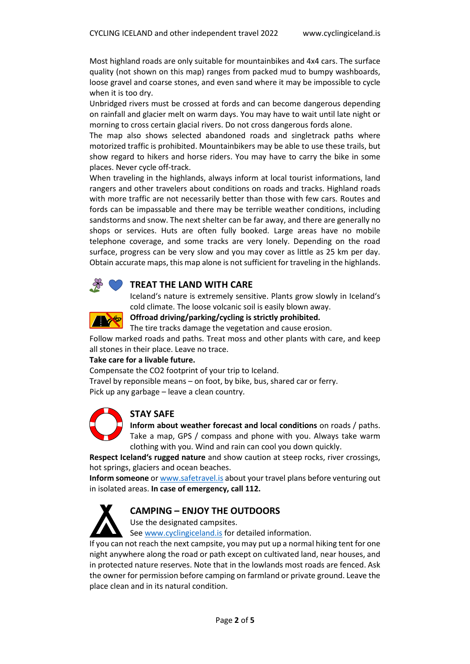Most highland roads are only suitable for mountainbikes and 4x4 cars. The surface quality (not shown on this map) ranges from packed mud to bumpy washboards, loose gravel and coarse stones, and even sand where it may be impossible to cycle when it is too dry.

Unbridged rivers must be crossed at fords and can become dangerous depending on rainfall and glacier melt on warm days. You may have to wait until late night or morning to cross certain glacial rivers. Do not cross dangerous fords alone.

The map also shows selected abandoned roads and singletrack paths where motorized traffic is prohibited. Mountainbikers may be able to use these trails, but show regard to hikers and horse riders. You may have to carry the bike in some places. Never cycle off-track.

When traveling in the highlands, always inform at local tourist informations, land rangers and other travelers about conditions on roads and tracks. Highland roads with more traffic are not necessarily better than those with few cars. Routes and fords can be impassable and there may be terrible weather conditions, including sandstorms and snow. The next shelter can be far away, and there are generally no shops or services. Huts are often fully booked. Large areas have no mobile telephone coverage, and some tracks are very lonely. Depending on the road surface, progress can be very slow and you may cover as little as 25 km per day. Obtain accurate maps, this map alone is not sufficient for traveling in the highlands.



#### **TREAT THE LAND WITH CARE**

Iceland's nature is extremely sensitive. Plants grow slowly in Iceland's cold climate. The loose volcanic soil is easily blown away.



#### **Offroad driving/parking/cycling is strictly prohibited.**

The tire tracks damage the vegetation and cause erosion.

Follow marked roads and paths. Treat moss and other plants with care, and keep all stones in their place. Leave no trace.

#### **Take care for a livable future.**

Compensate the CO2 footprint of your trip to Iceland.

Travel by reponsible means – on foot, by bike, bus, shared car or ferry. Pick up any garbage – leave a clean country.



#### **STAY SAFE**

**Inform about weather forecast and local conditions** on roads / paths. Take a map, GPS / compass and phone with you. Always take warm clothing with you. Wind and rain can cool you down quickly.

**Respect Iceland's rugged nature** and show caution at steep rocks, river crossings, hot springs, glaciers and ocean beaches.

**Inform someone** o[r www.safetravel.is](http://www.safetravel.is/) about your travel plans before venturing out in isolated areas. **In case of emergency, call 112.** 



#### **CAMPING – ENJOY THE OUTDOORS**

Use the designated campsites.

See [www.cyclingiceland.is](http://www.cyclingiceland.is/) for detailed information.

If you can not reach the next campsite, you may put up a normal hiking tent for one night anywhere along the road or path except on cultivated land, near houses, and in protected nature reserves. Note that in the lowlands most roads are fenced. Ask the owner for permission before camping on farmland or private ground. Leave the place clean and in its natural condition.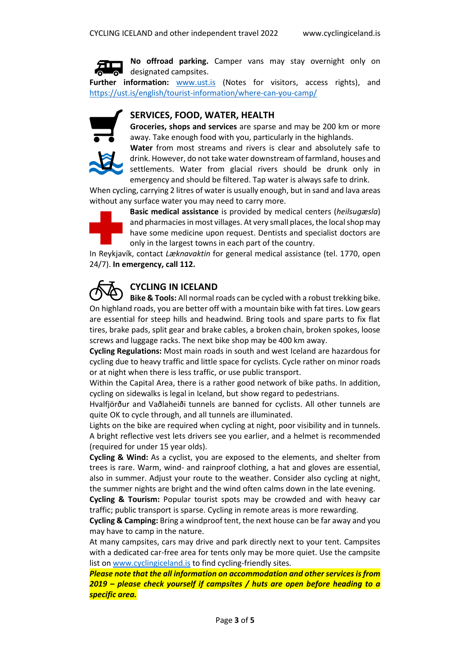

**No offroad parking.** Camper vans may stay overnight only on designated campsites.

**Further information:** [www.ust.is](http://www.ust.is/) (Notes for visitors, access rights), and <https://ust.is/english/tourist-information/where-can-you-camp/>

#### **SERVICES, FOOD, WATER, HEALTH**

**Groceries, shops and services** are sparse and may be 200 km or more away. Take enough food with you, particularly in the highlands.



**Water** from most streams and rivers is clear and absolutely safe to drink. However, do not take water downstream of farmland, houses and settlements. Water from glacial rivers should be drunk only in emergency and should be filtered. Tap water is always safe to drink.

When cycling, carrying 2 litres of water is usually enough, but in sand and lava areas without any surface water you may need to carry more.



**Basic medical assistance** is provided by medical centers (*heilsugæsla*) and pharmacies in most villages. At very small places, the local shop may have some medicine upon request. Dentists and specialist doctors are only in the largest towns in each part of the country.

In Reykjavík, contact *Læknavaktin* for general medical assistance (tel. 1770, open 24/7). **In emergency, call 112.**



### **CYCLING IN ICELAND**

**Bike & Tools:** All normal roads can be cycled with a robust trekking bike. On highland roads, you are better off with a mountain bike with fat tires. Low gears are essential for steep hills and headwind. Bring tools and spare parts to fix flat tires, brake pads, split gear and brake cables, a broken chain, broken spokes, loose screws and luggage racks. The next bike shop may be 400 km away.

**Cycling Regulations:** Most main roads in south and west Iceland are hazardous for cycling due to heavy traffic and little space for cyclists. Cycle rather on minor roads or at night when there is less traffic, or use public transport.

Within the Capital Area, there is a rather good network of bike paths. In addition, cycling on sidewalks is legal in Iceland, but show regard to pedestrians.

Hvalfjörður and Vaðlaheiði tunnels are banned for cyclists. All other tunnels are quite OK to cycle through, and all tunnels are illuminated.

Lights on the bike are required when cycling at night, poor visibility and in tunnels. A bright reflective vest lets drivers see you earlier, and a helmet is recommended (required for under 15 year olds).

**Cycling & Wind:** As a cyclist, you are exposed to the elements, and shelter from trees is rare. Warm, wind- and rainproof clothing, a hat and gloves are essential, also in summer. Adjust your route to the weather. Consider also cycling at night, the summer nights are bright and the wind often calms down in the late evening.

**Cycling & Tourism:** Popular tourist spots may be crowded and with heavy car traffic; public transport is sparse. Cycling in remote areas is more rewarding.

**Cycling & Camping:** Bring a windproof tent, the next house can be far away and you may have to camp in the nature.

At many campsites, cars may drive and park directly next to your tent. Campsites with a dedicated car-free area for tents only may be more quiet. Use the campsite list on [www.cyclingiceland.is](http://www.cyclingiceland.is/) to find cycling-friendly sites.

*Please note that the all information on accommodation and other services is from 2019 – please check yourself if campsites / huts are open before heading to a specific area.*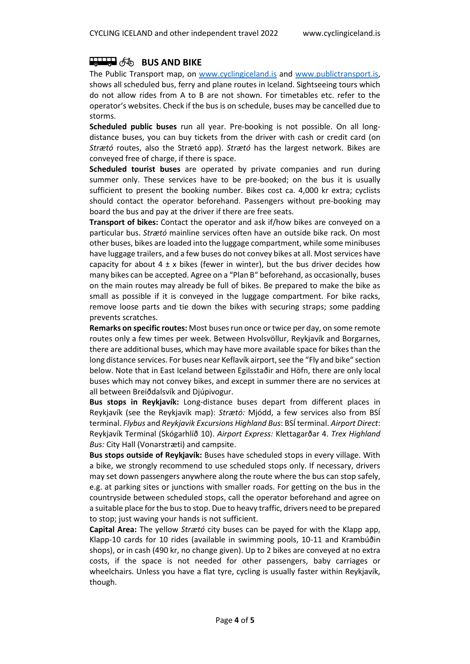## **BUS AND BIKE**

The Public Transport map, on [www.cyclingiceland.is](http://www.cyclingiceland.is/) and [www.publictransport.is,](http://www.publictransport.is/) shows all scheduled bus, ferry and plane routes in Iceland. Sightseeing tours which do not allow rides from A to B are not shown. For timetables etc. refer to the operator's websites. Check if the bus is on schedule, buses may be cancelled due to storms.

**Scheduled public buses** run all year. Pre-booking is not possible. On all longdistance buses, you can buy tickets from the driver with cash or credit card (on *Strætó* routes, also the Strætó app). *Strætó* has the largest network. Bikes are conveyed free of charge, if there is space.

**Scheduled tourist buses** are operated by private companies and run during summer only. These services have to be pre-booked; on the bus it is usually sufficient to present the booking number. Bikes cost ca. 4,000 kr extra; cyclists should contact the operator beforehand. Passengers without pre-booking may board the bus and pay at the driver if there are free seats.

**Transport of bikes:** Contact the operator and ask if/how bikes are conveyed on a particular bus. *Strætó* mainline services often have an outside bike rack. On most other buses, bikes are loaded into the luggage compartment, while some minibuses have luggage trailers, and a few buses do not convey bikes at all. Most services have capacity for about  $4 \pm x$  bikes (fewer in winter), but the bus driver decides how many bikes can be accepted. Agree on a "Plan B" beforehand, as occasionally, buses on the main routes may already be full of bikes. Be prepared to make the bike as small as possible if it is conveyed in the luggage compartment. For bike racks, remove loose parts and tie down the bikes with securing straps; some padding prevents scratches.

**Remarks on specific routes:** Most buses run once or twice per day, on some remote routes only a few times per week. Between Hvolsvöllur, Reykjavík and Borgarnes, there are additional buses, which may have more available space for bikes than the long distance services. For buses near Keflavík airport, see the "Fly and bike" section below. Note that in East Iceland between Egilsstaðir and Höfn, there are only local buses which may not convey bikes, and except in summer there are no services at all between Breiðdalsvík and Djúpivogur.

**Bus stops in Reykjavík:** Long-distance buses depart from different places in Reykjavík (see the Reykjavík map): *Strætó:* Mjódd, a few services also from BSÍ terminal. *Flybus* and *Reykjavik Excursions Highland Bus*: BSÍ terminal. *Airport Direct*: Reykjavík Terminal (Skógarhlíð 10). *Airport Express:* Klettagarðar 4. *Trex Highland Bus:* City Hall (Vonarstræti) and campsite.

**Bus stops outside of Reykjavík:** Buses have scheduled stops in every village. With a bike, we strongly recommend to use scheduled stops only. If necessary, drivers may set down passengers anywhere along the route where the bus can stop safely, e.g. at parking sites or junctions with smaller roads. For getting on the bus in the countryside between scheduled stops, call the operator beforehand and agree on a suitable place for the bus to stop. Due to heavy traffic, drivers need to be prepared to stop; just waving your hands is not sufficient.

**Capital Area:** The yellow *Strætó* city buses can be payed for with the Klapp app, Klapp-10 cards for 10 rides (available in swimming pools, 10-11 and Krambúðin shops), or in cash (490 kr, no change given). Up to 2 bikes are conveyed at no extra costs, if the space is not needed for other passengers, baby carriages or wheelchairs. Unless you have a flat tyre, cycling is usually faster within Reykjavík, though.